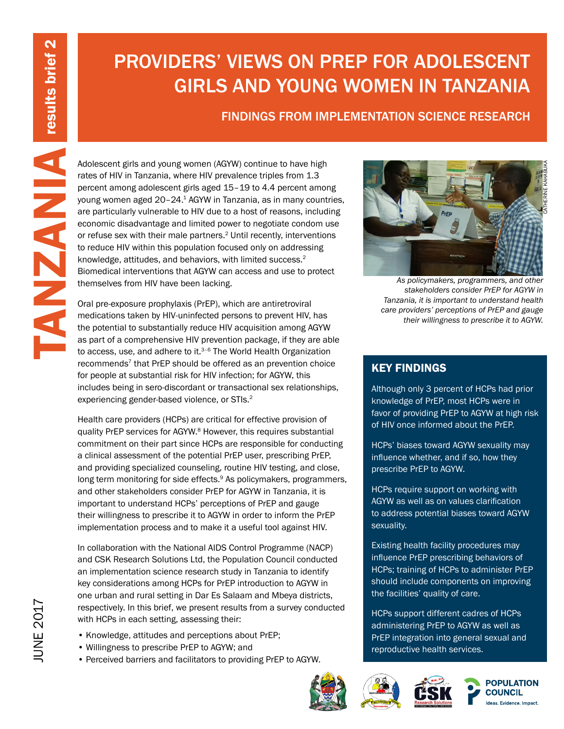# PROVIDERS' VIEWS ON PREP FOR ADOLESCENT GIRLS AND YOUNG WOMEN IN TANZANIA

# FINDINGS FROM IMPLEMENTATION SCIENCE RESEARCH

Molescent girls and young women (AGYW) continue to have high<br>
rates of HIV in Tanzania, where HIV prevalence triples from 1.3<br>
young women aged doesent girls aged 15-19 to 4.4 percent amore<br>
young women aged doesent girls rates of HIV in Tanzania, where HIV prevalence triples from 1.3 percent among adolescent girls aged 15–19 to 4.4 percent among young women aged 20–24.1 AGYW in Tanzania, as in many countries, are particularly vulnerable to HIV due to a host of reasons, including economic disadvantage and limited power to negotiate condom use or refuse sex with their male partners.<sup>2</sup> Until recently, interventions to reduce HIV within this population focused only on addressing knowledge, attitudes, and behaviors, with limited success.2 Biomedical interventions that AGYW can access and use to protect themselves from HIV have been lacking.

Oral pre-exposure prophylaxis (PrEP), which are antiretroviral medications taken by HIV-uninfected persons to prevent HIV, has the potential to substantially reduce HIV acquisition among AGYW as part of a comprehensive HIV prevention package, if they are able to access, use, and adhere to it. $3-6$  The World Health Organization recommends<sup>7</sup> that PrEP should be offered as an prevention choice for people at substantial risk for HIV infection; for AGYW, this includes being in sero-discordant or transactional sex relationships, experiencing gender-based violence, or STIs.<sup>2</sup>

Health care providers (HCPs) are critical for effective provision of quality PrEP services for AGYW.<sup>8</sup> However, this requires substantial commitment on their part since HCPs are responsible for conducting a clinical assessment of the potential PrEP user, prescribing PrEP, and providing specialized counseling, routine HIV testing, and close, long term monitoring for side effects.<sup>9</sup> As policymakers, programmers, and other stakeholders consider PrEP for AGYW in Tanzania, it is important to understand HCPs' perceptions of PrEP and gauge their willingness to prescribe it to AGYW in order to inform the PrEP implementation process and to make it a useful tool against HIV.

In collaboration with the National AIDS Control Programme (NACP) and CSK Research Solutions Ltd, the Population Council conducted an implementation science research study in Tanzania to identify key considerations among HCPs for PrEP introduction to AGYW in one urban and rural setting in Dar Es Salaam and Mbeya districts, respectively. In this brief, we present results from a survey conducted with HCPs in each setting, assessing their:

- Knowledge, attitudes and perceptions about PrEP;
- Willingness to prescribe PrEP to AGYW; and
- Perceived barriers and facilitators to providing PrEP to AGYW.





CATHERINE KAHABUKA

*As policymakers, programmers, and other stakeholders consider PrEP for AGYW in Tanzania, it is important to understand health care providers' perceptions of PrEP and gauge their willingness to prescribe it to AGYW.*

## KEY FINDINGS

Although only 3 percent of HCPs had prior knowledge of PrEP, most HCPs were in favor of providing PrEP to AGYW at high risk of HIV once informed about the PrEP.

HCPs' biases toward AGYW sexuality may influence whether, and if so, how they prescribe PrEP to AGYW.

HCPs require support on working with AGYW as well as on values clarification to address potential biases toward AGYW sexuality.

Existing health facility procedures may influence PrEP prescribing behaviors of HCPs; training of HCPs to administer PrEP should include components on improving the facilities' quality of care.

HCPs support different cadres of HCPs administering PrEP to AGYW as well as PrEP integration into general sexual and reproductive health services.







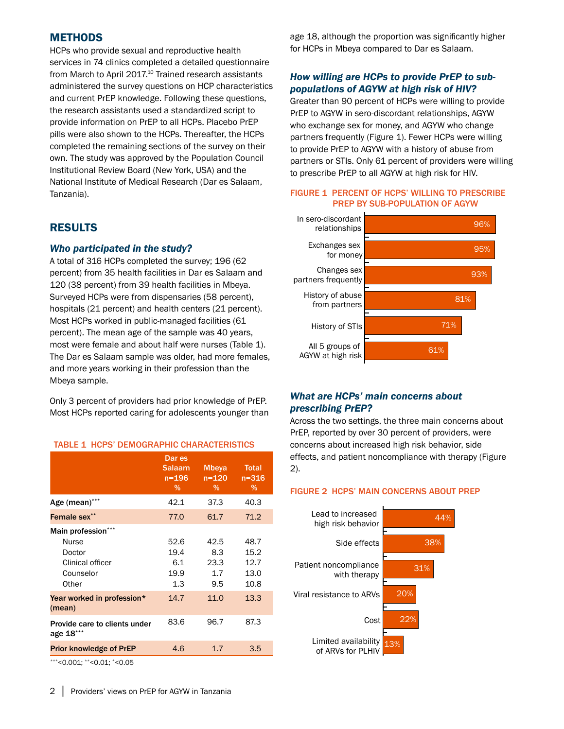## **METHODS**

HCPs who provide sexual and reproductive health services in 74 clinics completed a detailed questionnaire from March to April 2017.<sup>10</sup> Trained research assistants administered the survey questions on HCP characteristics and current PrEP knowledge. Following these questions, the research assistants used a standardized script to provide information on PrEP to all HCPs. Placebo PrEP pills were also shown to the HCPs. Thereafter, the HCPs completed the remaining sections of the survey on their own. The study was approved by the Population Council Institutional Review Board (New York, USA) and the National Institute of Medical Research (Dar es Salaam, Tanzania).

## RESULTS

#### *Who participated in the study?*

A total of 316 HCPs completed the survey; 196 (62 percent) from 35 health facilities in Dar es Salaam and 120 (38 percent) from 39 health facilities in Mbeya. Surveyed HCPs were from dispensaries (58 percent), hospitals (21 percent) and health centers (21 percent). Most HCPs worked in public-managed facilities (61 percent). The mean age of the sample was 40 years, most were female and about half were nurses (Table 1). The Dar es Salaam sample was older, had more females, and more years working in their profession than the Mbeya sample.

Only 3 percent of providers had prior knowledge of PrEP. Most HCPs reported caring for adolescents younger than

#### TABLE 1 HCPS' DEMOGRAPHIC CHARACTERISTICS

|                                                                                        | Dar es<br><b>Salaam</b><br>$n = 196$<br>$\%$ | <b>Mbeya</b><br>$n = 120$<br>$\%$ | <b>Total</b><br>$n = 316$<br>%       |
|----------------------------------------------------------------------------------------|----------------------------------------------|-----------------------------------|--------------------------------------|
| Age (mean)***                                                                          | 42.1                                         | 37.3                              | 40.3                                 |
| Female sex**                                                                           | 77.0                                         | 61.7                              | 71.2                                 |
| Main profession***<br><b>Nurse</b><br>Doctor<br>Clinical officer<br>Counselor<br>Other | 52.6<br>19.4<br>6.1<br>19.9<br>1.3           | 42.5<br>8.3<br>23.3<br>1.7<br>9.5 | 48.7<br>15.2<br>12.7<br>13.0<br>10.8 |
| Year worked in profession*<br>(mean)                                                   | 14.7                                         | 11.0                              | 13.3                                 |
| Provide care to clients under<br>age 18***                                             | 83.6                                         | 96.7                              | 87.3                                 |
| <b>Prior knowledge of PrEP</b>                                                         | 4.6                                          | 1.7                               | 3.5                                  |

\*\*\*<0.001; \*\*<0.01; \*<0.05

age 18, although the proportion was significantly higher for HCPs in Mbeya compared to Dar es Salaam.

## *How willing are HCPs to provide PrEP to subpopulations of AGYW at high risk of HIV?*

Greater than 90 percent of HCPs were willing to provide PrEP to AGYW in sero-discordant relationships, AGYW who exchange sex for money, and AGYW who change partners frequently (Figure 1). Fewer HCPs were willing to provide PrEP to AGYW with a history of abuse from partners or STIs. Only 61 percent of providers were willing to prescribe PrEP to all AGYW at high risk for HIV.

#### FIGURE 1 PERCENT OF HCPS' WILLING TO PRESCRIBE PREP BY SUB-POPULATION OF AGYW



## *What are HCPs' main concerns about prescribing PrEP?*

Across the two settings, the three main concerns about PrEP, reported by over 30 percent of providers, were concerns about increased high risk behavior, side effects, and patient noncompliance with therapy (Figure 2).

#### FIGURE 2 HCPS' MAIN CONCERNS ABOUT PREP

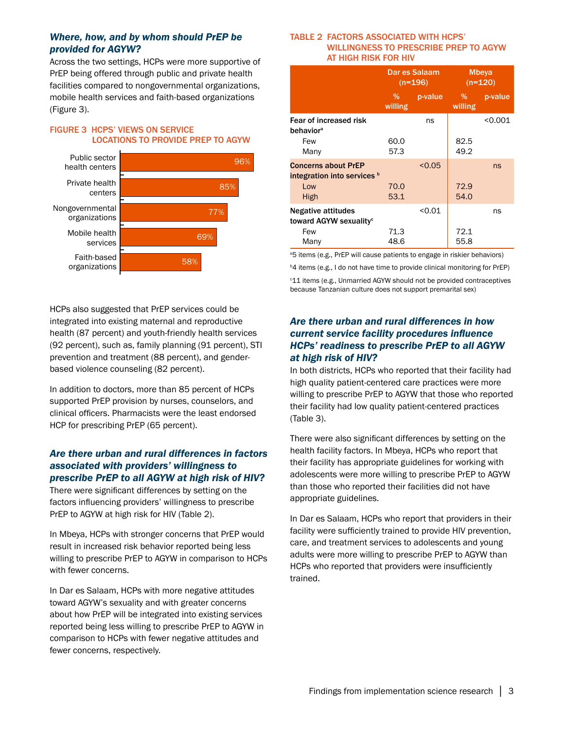## *Where, how, and by whom should PrEP be provided for AGYW?*

Across the two settings, HCPs were more supportive of PrEP being offered through public and private health facilities compared to nongovernmental organizations, mobile health services and faith-based organizations (Figure 3).

## FIGURE 3 HCPS' VIEWS ON SERVICE LOCATIONS TO PROVIDE PREP TO AGYW



HCPs also suggested that PrEP services could be integrated into existing maternal and reproductive health (87 percent) and youth-friendly health services (92 percent), such as, family planning (91 percent), STI prevention and treatment (88 percent), and genderbased violence counseling (82 percent).

In addition to doctors, more than 85 percent of HCPs supported PrEP provision by nurses, counselors, and clinical officers. Pharmacists were the least endorsed HCP for prescribing PrEP (65 percent).

## *Are there urban and rural differences in factors associated with providers' willingness to prescribe PrEP to all AGYW at high risk of HIV?*

There were significant differences by setting on the factors influencing providers' willingness to prescribe PrEP to AGYW at high risk for HIV (Table 2).

In Mbeya, HCPs with stronger concerns that PrEP would result in increased risk behavior reported being less willing to prescribe PrEP to AGYW in comparison to HCPs with fewer concerns.

In Dar es Salaam, HCPs with more negative attitudes toward AGYW's sexuality and with greater concerns about how PrEP will be integrated into existing services reported being less willing to prescribe PrEP to AGYW in comparison to HCPs with fewer negative attitudes and fewer concerns, respectively.

#### TABLE 2 FACTORS ASSOCIATED WITH HCPS' WILLINGNESS TO PRESCRIBE PREP TO AGYW AT HIGH RISK FOR HIV

|                                                           | Dar es Salaam<br>$(n=196)$ |         | <b>Mbeya</b><br>$(n=120)$ |         |
|-----------------------------------------------------------|----------------------------|---------|---------------------------|---------|
|                                                           | $\%$<br>willing            | p-value | %<br>willing              | p-value |
| Fear of increased risk<br>behavior <sup>a</sup>           |                            | ns      |                           | < 0.001 |
| Few<br>Many                                               | 60.0<br>57.3               |         | 82.5<br>49.2              |         |
| <b>Concerns about PrEP</b><br>integration into services b |                            | < 0.05  |                           | ns      |
| Low<br>High                                               | 70.0<br>53.1               |         | 72.9<br>54.0              |         |
| Negative attitudes<br>toward AGYW sexuality <sup>c</sup>  |                            | < 0.01  |                           | ns      |
| Few<br>Many                                               | 71.3<br>48.6               |         | 72.1<br>55.8              |         |

<sup>a</sup>5 items (e.g., PrEP will cause patients to engage in riskier behaviors)

**b4** items (e.g., I do not have time to provide clinical monitoring for PrEP)

c 11 items (e.g., Unmarried AGYW should not be provided contraceptives because Tanzanian culture does not support premarital sex)

## *Are there urban and rural differences in how current service facility procedures influence HCPs' readiness to prescribe PrEP to all AGYW at high risk of HIV?*

In both districts, HCPs who reported that their facility had high quality patient-centered care practices were more willing to prescribe PrEP to AGYW that those who reported their facility had low quality patient-centered practices (Table 3).

There were also significant differences by setting on the health facility factors. In Mbeya, HCPs who report that their facility has appropriate guidelines for working with adolescents were more willing to prescribe PrEP to AGYW than those who reported their facilities did not have appropriate guidelines.

In Dar es Salaam, HCPs who report that providers in their facility were sufficiently trained to provide HIV prevention, care, and treatment services to adolescents and young adults were more willing to prescribe PrEP to AGYW than HCPs who reported that providers were insufficiently trained.